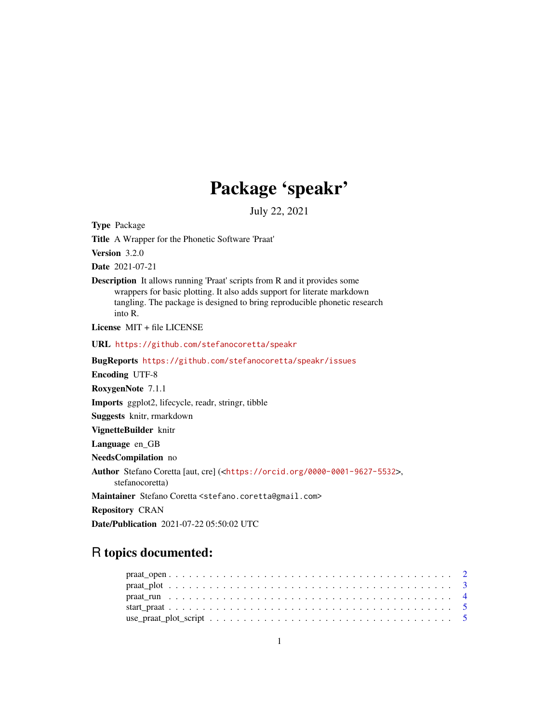# Package 'speakr'

July 22, 2021

<span id="page-0-0"></span>Type Package

Title A Wrapper for the Phonetic Software 'Praat'

Version 3.2.0

Date 2021-07-21

Description It allows running 'Praat' scripts from R and it provides some wrappers for basic plotting. It also adds support for literate markdown tangling. The package is designed to bring reproducible phonetic research into R.

License MIT + file LICENSE

URL <https://github.com/stefanocoretta/speakr>

BugReports <https://github.com/stefanocoretta/speakr/issues>

Encoding UTF-8

RoxygenNote 7.1.1

Imports ggplot2, lifecycle, readr, stringr, tibble

Suggests knitr, rmarkdown

VignetteBuilder knitr

Language en\_GB

NeedsCompilation no

Author Stefano Coretta [aut, cre] (<<https://orcid.org/0000-0001-9627-5532>>,

stefanocoretta)

Maintainer Stefano Coretta <stefano.coretta@gmail.com>

Repository CRAN

Date/Publication 2021-07-22 05:50:02 UTC

# R topics documented: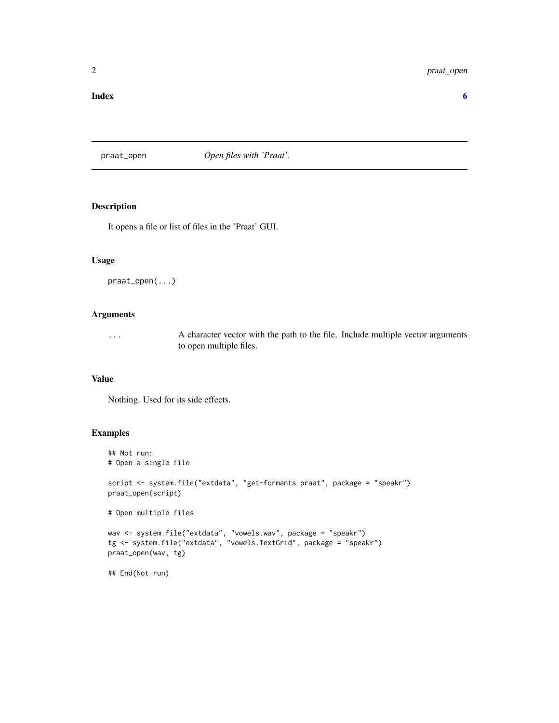#### <span id="page-1-0"></span>**Index** [6](#page-5-0) **6**

#### praat\_open *Open files with 'Praat'.*

#### Description

It opens a file or list of files in the 'Praat' GUI.

#### Usage

praat\_open(...)

#### Arguments

... A character vector with the path to the file. Include multiple vector arguments to open multiple files.

#### Value

Nothing. Used for its side effects.

#### Examples

```
## Not run:
# Open a single file
script <- system.file("extdata", "get-formants.praat", package = "speakr")
praat_open(script)
# Open multiple files
wav <- system.file("extdata", "vowels.wav", package = "speakr")
tg <- system.file("extdata", "vowels.TextGrid", package = "speakr")
praat_open(wav, tg)
## End(Not run)
```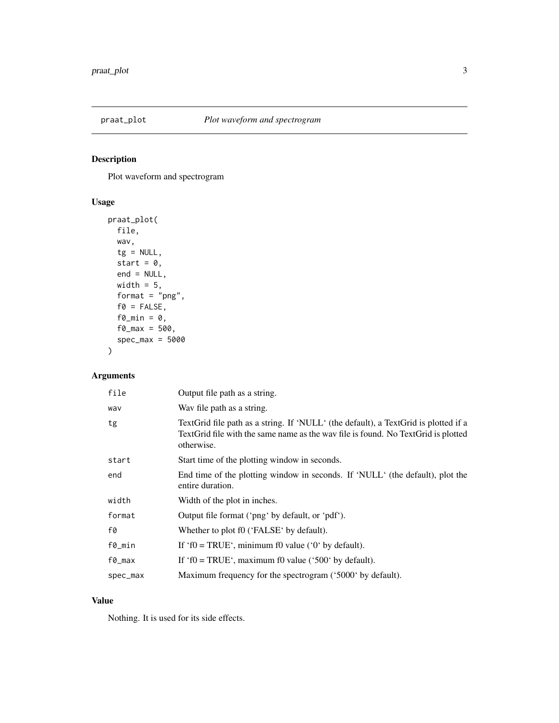<span id="page-2-0"></span>

## Description

Plot waveform and spectrogram

#### Usage

```
praat_plot(
  file,
 wav,
 tg = NULL,start = 0,
 end = NULL,width = 5,
  format = "png",
  f0 = FALSE,f\Omega_min = 0,
 f0_{max} = 500,
  spec_max = 5000
)
```
## Arguments

| Output file path as a string.                                                                                                                                                          |
|----------------------------------------------------------------------------------------------------------------------------------------------------------------------------------------|
| Way file path as a string.                                                                                                                                                             |
| TextGrid file path as a string. If 'NULL' (the default), a TextGrid is plotted if a<br>TextGrid file with the same name as the wav file is found. No TextGrid is plotted<br>otherwise. |
| Start time of the plotting window in seconds.                                                                                                                                          |
| End time of the plotting window in seconds. If 'NULL' (the default), plot the<br>entire duration.                                                                                      |
| Width of the plot in inches.                                                                                                                                                           |
| Output file format ('png' by default, or 'pdf').                                                                                                                                       |
| Whether to plot f0 ('FALSE' by default).                                                                                                                                               |
| If 'f $0 = TRUE$ ', minimum f0 value ('0' by default).                                                                                                                                 |
| If 'f $0 = \text{TRUE}$ ', maximum f0 value ('500' by default).                                                                                                                        |
| Maximum frequency for the spectrogram ('5000' by default).                                                                                                                             |
|                                                                                                                                                                                        |

#### Value

Nothing. It is used for its side effects.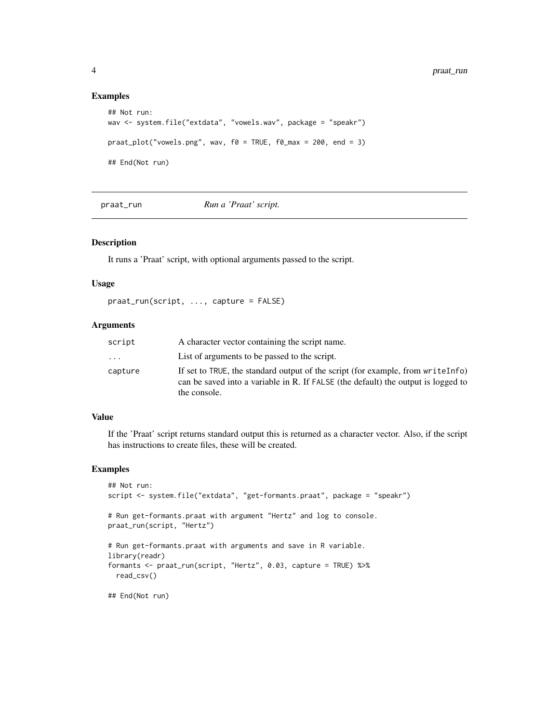#### Examples

```
## Not run:
wav <- system.file("extdata", "vowels.wav", package = "speakr")
praat\_plot("vowels.png", wav, f@ = TRUE, f@\_max = 200, end = 3)## End(Not run)
```
praat\_run *Run a 'Praat' script.*

#### Description

It runs a 'Praat' script, with optional arguments passed to the script.

#### Usage

praat\_run(script, ..., capture = FALSE)

#### Arguments

| script  | A character vector containing the script name.                                                                                                                                        |
|---------|---------------------------------------------------------------------------------------------------------------------------------------------------------------------------------------|
| .       | List of arguments to be passed to the script.                                                                                                                                         |
| capture | If set to TRUE, the standard output of the script (for example, from write Info)<br>can be saved into a variable in R. If FALSE (the default) the output is logged to<br>the console. |

#### Value

If the 'Praat' script returns standard output this is returned as a character vector. Also, if the script has instructions to create files, these will be created.

#### Examples

```
## Not run:
script <- system.file("extdata", "get-formants.praat", package = "speakr")
# Run get-formants.praat with argument "Hertz" and log to console.
praat_run(script, "Hertz")
# Run get-formants.praat with arguments and save in R variable.
library(readr)
formants <- praat_run(script, "Hertz", 0.03, capture = TRUE) %>%
 read_csv()
## End(Not run)
```
<span id="page-3-0"></span>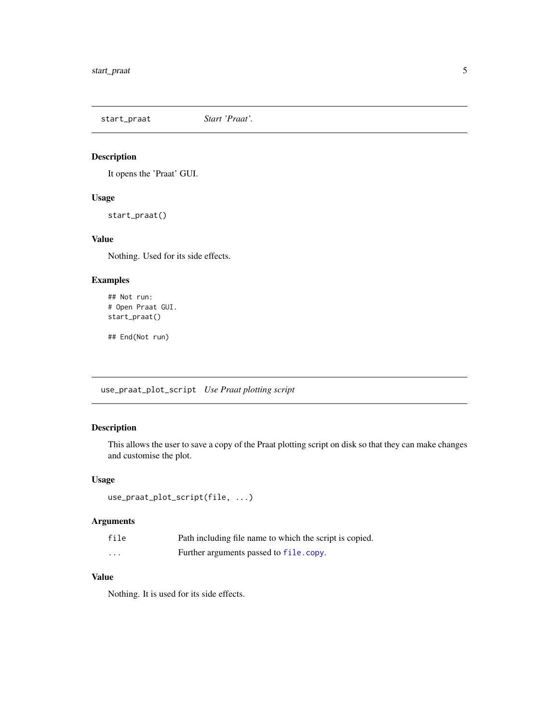<span id="page-4-0"></span>start\_praat *Start 'Praat'.*

#### Description

It opens the 'Praat' GUI.

#### Usage

start\_praat()

#### Value

Nothing. Used for its side effects.

#### Examples

```
## Not run:
# Open Praat GUI.
start_praat()
```
## End(Not run)

use\_praat\_plot\_script *Use Praat plotting script*

# Description

This allows the user to save a copy of the Praat plotting script on disk so that they can make changes and customise the plot.

#### Usage

```
use_praat_plot_script(file, ...)
```
#### Arguments

| file     | Path including file name to which the script is copied. |
|----------|---------------------------------------------------------|
| $\cdots$ | Further arguments passed to file.copy.                  |

#### Value

Nothing. It is used for its side effects.